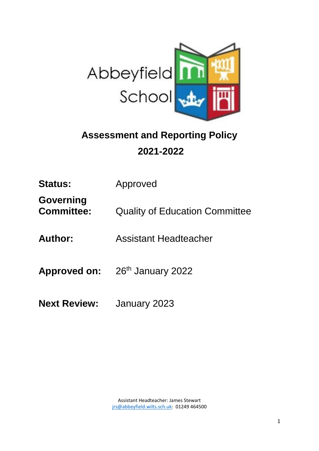

# **Assessment and Reporting Policy 2021-2022**

| <b>Status:</b>                   | Approved                                          |
|----------------------------------|---------------------------------------------------|
| Governing<br><b>Committee:</b>   | <b>Quality of Education Committee</b>             |
| <b>Author:</b>                   | Assistant Headteacher                             |
|                                  | <b>Approved on:</b> 26 <sup>th</sup> January 2022 |
| <b>Next Review:</b> January 2023 |                                                   |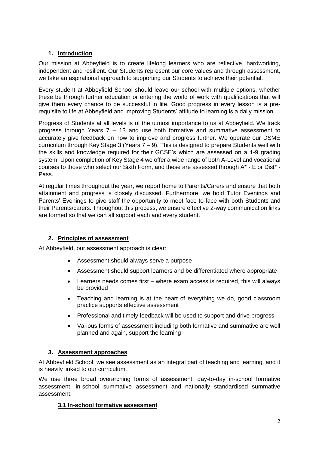## **1. Introduction**

Our mission at Abbeyfield is to create lifelong learners who are reflective, hardworking, independent and resilient. Our Students represent our core values and through assessment, we take an aspirational approach to supporting our Students to achieve their potential.

Every student at Abbeyfield School should leave our school with multiple options, whether these be through further education or entering the world of work with qualifications that will give them every chance to be successful in life. Good progress in every lesson is a prerequisite to life at Abbeyfield and improving Students' attitude to learning is a daily mission.

Progress of Students at all levels is of the utmost importance to us at Abbeyfield. We track progress through Years  $7 - 13$  and use both formative and summative assessment to accurately give feedback on how to improve and progress further. We operate our DSME curriculum through Key Stage 3 (Years 7 – 9). This is designed to prepare Students well with the skills and knowledge required for their GCSE's which are assessed on a 1-9 grading system. Upon completion of Key Stage 4 we offer a wide range of both A-Level and vocational courses to those who select our Sixth Form, and these are assessed through A\* - E or Dist\* - Pass.

At regular times throughout the year, we report home to Parents/Carers and ensure that both attainment and progress is closely discussed. Furthermore, we hold Tutor Evenings and Parents' Evenings to give staff the opportunity to meet face to face with both Students and their Parents/carers. Throughout this process, we ensure effective 2-way communication links are formed so that we can all support each and every student.

## **2. Principles of assessment**

At Abbeyfield, our assessment approach is clear:

- Assessment should always serve a purpose
- Assessment should support learners and be differentiated where appropriate
- Learners needs comes first where exam access is required, this will always be provided
- Teaching and learning is at the heart of everything we do, good classroom practice supports effective assessment
- Professional and timely feedback will be used to support and drive progress
- Various forms of assessment including both formative and summative are well planned and again, support the learning

## **3. Assessment approaches**

At Abbeyfield School, we see assessment as an integral part of teaching and learning, and it is heavily linked to our curriculum.

We use three broad overarching forms of assessment: day-to-day in-school formative assessment, in-school summative assessment and nationally standardised summative assessment.

#### **3.1 In-school formative assessment**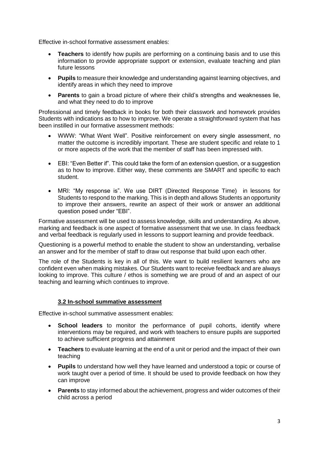Effective in-school formative assessment enables:

- **Teachers** to identify how pupils are performing on a continuing basis and to use this information to provide appropriate support or extension, evaluate teaching and plan future lessons
- **Pupils** to measure their knowledge and understanding against learning objectives, and identify areas in which they need to improve
- **Parents** to gain a broad picture of where their child's strengths and weaknesses lie, and what they need to do to improve

Professional and timely feedback in books for both their classwork and homework provides Students with indications as to how to improve. We operate a straightforward system that has been instilled in our formative assessment methods:

- WWW: "What Went Well". Positive reinforcement on every single assessment, no matter the outcome is incredibly important. These are student specific and relate to 1 or more aspects of the work that the member of staff has been impressed with.
- EBI: "Even Better if". This could take the form of an extension question, or a suggestion as to how to improve. Either way, these comments are SMART and specific to each student.
- MRI: "My response is". We use DIRT (Directed Response Time) in lessons for Students to respond to the marking. This is in depth and allows Students an opportunity to improve their answers, rewrite an aspect of their work or answer an additional question posed under "EBI".

Formative assessment will be used to assess knowledge, skills and understanding. As above, marking and feedback is one aspect of formative assessment that we use. In class feedback and verbal feedback is regularly used in lessons to support learning and provide feedback.

Questioning is a powerful method to enable the student to show an understanding, verbalise an answer and for the member of staff to draw out response that build upon each other.

The role of the Students is key in all of this. We want to build resilient learners who are confident even when making mistakes. Our Students want to receive feedback and are always looking to improve. This culture / ethos is something we are proud of and an aspect of our teaching and learning which continues to improve.

#### **3.2 In-school summative assessment**

Effective in-school summative assessment enables:

- **School leaders** to monitor the performance of pupil cohorts, identify where interventions may be required, and work with teachers to ensure pupils are supported to achieve sufficient progress and attainment
- **Teachers** to evaluate learning at the end of a unit or period and the impact of their own teaching
- **Pupils** to understand how well they have learned and understood a topic or course of work taught over a period of time. It should be used to provide feedback on how they can improve
- **Parents** to stay informed about the achievement, progress and wider outcomes of their child across a period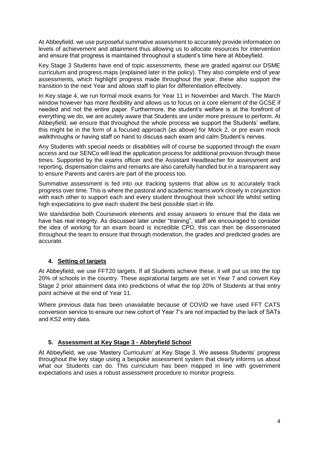At Abbeyfield, we use purposeful summative assessment to accurately provide information on levels of achievement and attainment thus allowing us to allocate resources for intervention and ensure that progress is maintained throughout a student's time here at Abbeyfield.

Key Stage 3 Students have end of topic assessments, these are graded against our DSME curriculum and progress maps (explained later in the policy). They also complete end of year assessments, which highlight progress made throughout the year, these also support the transition to the next Year and allows staff to plan for differentiation effectively.

In Key stage 4, we run formal mock exams for Year 11 in November and March. The March window however has more flexibility and allows us to focus on a core element of the GCSE if needed and not the entire paper. Furthermore, the student's welfare is at the forefront of everything we do, we are acutely aware that Students are under more pressure to perform. At Abbeyfield, we ensure that throughout the whole process we support the Students' welfare, this might be in the form of a focused approach (as above) for Mock 2, or pre exam mock walkthroughs or having staff on hand to discuss each exam and calm Student's nerves.

Any Students with special needs or disabilities will of course be supported through the exam access and our SENCo will lead the application process for additional provision through these times. Supported by the exams officer and the Assistant Headteacher for assessment and reporting, dispensation claims and remarks are also carefully handled but in a transparent way to ensure Parents and carers are part of the process too.

Summative assessment is fed into our tracking systems that allow us to accurately track progress over time. This is where the pastoral and academic teams work closely in conjunction with each other to support each and every student throughout their school life whilst setting high expectations to give each student the best possible start in life.

We standardise both Coursework elements and essay answers to ensure that the data we have has real integrity. As discussed later under "training", staff are encouraged to consider the idea of working for an exam board is incredible CPD, this can then be disseminated throughout the team to ensure that through moderation, the grades and predicted grades are accurate.

## **4. Setting of targets**

At Abbeyfield, we use FFT20 targets. If all Students achieve these, it will put us into the top 20% of schools in the country. These aspirational targets are set in Year 7 and convert Key Stage 2 prior attainment data into predictions of what the top 20% of Students at that entry point achieve at the end of Year 11.

Where previous data has been unavailable because of COVID we have used FFT CATS conversion service to ensure our new cohort of Year 7's are not impacted by the lack of SATs and KS2 entry data.

## **5. Assessment at Key Stage 3 - Abbeyfield School**

At Abbeyfield, we use 'Mastery Curriculum' at Key Stage 3. We assess Students' progress throughout the key stage using a bespoke assessment system that clearly informs us about what our Students can do. This curriculum has been mapped in line with government expectations and uses a robust assessment procedure to monitor progress.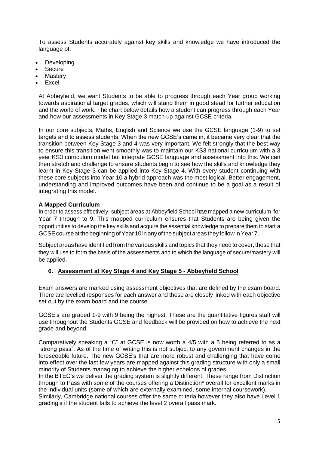To assess Students accurately against key skills and knowledge we have introduced the language of:

- **Developing**
- Secure
- **Mastery**
- **Excel**

At Abbeyfield, we want Students to be able to progress through each Year group working towards aspirational target grades, which will stand them in good stead for further education and the world of work. The chart below details how a student can progress through each Year and how our assessments in Key Stage 3 match up against GCSE criteria.

In our core subjects, Maths, English and Science we use the GCSE language (1-9) to set targets and to assess students. When the new GCSE's came in, it became very clear that the transition between Key Stage 3 and 4 was very important. We felt strongly that the best way to ensure this transition went smoothly was to maintain our KS3 national curriculum with a 3 year KS3 curriculum model but integrate GCSE language and assessment into this. We can then stretch and challenge to ensure students begin to see how the skills and knowledge they learnt in Key Stage 3 can be applied into Key Stage 4. With every student continuing with these core subjects into Year 10 a hybrid approach was the most logical. Better engagement, understanding and improved outcomes have been and continue to be a goal as a result of integrating this model.

#### **A Mapped Curriculum**

In order to assess effectively, subject areas at Abbeyfield School havemapped a new curriculum for Year 7 through to 9. This mapped curriculum ensures that Students are being given the opportunities to develop the key skills and acquire the essential knowledge to prepare them to start a GCSE course at the beginning of Year 10 in any of the subject areas they follow in Year 7.

Subject areas have identified from the various skills and topics that they need to cover, those that they will use to form the basis of the assessments and to which the language of secure/mastery will be applied.

#### **6. Assessment at Key Stage 4 and Key Stage 5 - Abbeyfield School**

Exam answers are marked using assessment objectives that are defined by the exam board. There are levelled responses for each answer and these are closely linked with each objective set out by the exam board and the course.

GCSE's are graded 1-9 with 9 being the highest. These are the quantitative figures staff will use throughout the Students GCSE and feedback will be provided on how to achieve the next grade and beyond.

Comparatively speaking a "C" at GCSE is now worth a 4/5 with a 5 being referred to as a "strong pass". As of the time of writing this is not subject to any government changes in the foreseeable future. The new GCSE's that are more robust and challenging that have come into effect over the last few years are mapped against this grading structure with only a small minority of Students managing to achieve the higher echelons of grades.

In the BTEC's we deliver the grading system is slightly different. These range from Distinction through to Pass with some of the courses offering a Distinction\* overall for excellent marks in the individual units (some of which are externally examined, some internal coursework).

Similarly, Cambridge national courses offer the same criteria however they also have Level 1 grading's if the student fails to achieve the level 2 overall pass mark.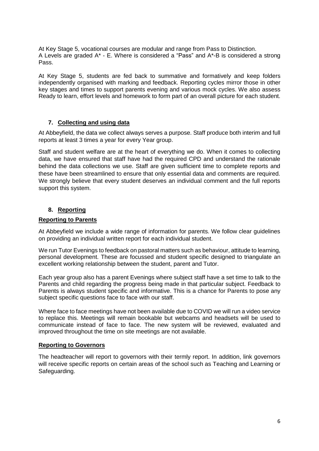At Key Stage 5, vocational courses are modular and range from Pass to Distinction. A Levels are graded A\* - E. Where is considered a "Pass" and A\*-B is considered a strong Pass.

At Key Stage 5, students are fed back to summative and formatively and keep folders independently organised with marking and feedback. Reporting cycles mirror those in other key stages and times to support parents evening and various mock cycles. We also assess Ready to learn, effort levels and homework to form part of an overall picture for each student.

#### **7. Collecting and using data**

At Abbeyfield, the data we collect always serves a purpose. Staff produce both interim and full reports at least 3 times a year for every Year group.

Staff and student welfare are at the heart of everything we do. When it comes to collecting data, we have ensured that staff have had the required CPD and understand the rationale behind the data collections we use. Staff are given sufficient time to complete reports and these have been streamlined to ensure that only essential data and comments are required. We strongly believe that every student deserves an individual comment and the full reports support this system.

## **8. Reporting**

#### **Reporting to Parents**

At Abbeyfield we include a wide range of information for parents. We follow clear guidelines on providing an individual written report for each individual student.

We run Tutor Evenings to feedback on pastoral matters such as behaviour, attitude to learning, personal development. These are focussed and student specific designed to triangulate an excellent working relationship between the student, parent and Tutor.

Each year group also has a parent Evenings where subject staff have a set time to talk to the Parents and child regarding the progress being made in that particular subject. Feedback to Parents is always student specific and informative. This is a chance for Parents to pose any subject specific questions face to face with our staff.

Where face to face meetings have not been available due to COVID we will run a video service to replace this. Meetings will remain bookable but webcams and headsets will be used to communicate instead of face to face. The new system will be reviewed, evaluated and improved throughout the time on site meetings are not available.

#### **Reporting to Governors**

The headteacher will report to governors with their termly report. In addition, link governors will receive specific reports on certain areas of the school such as Teaching and Learning or Safeguarding.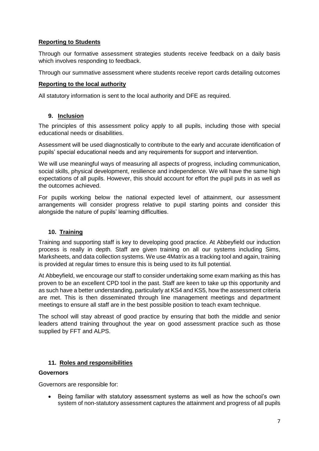### **Reporting to Students**

Through our formative assessment strategies students receive feedback on a daily basis which involves responding to feedback.

Through our summative assessment where students receive report cards detailing outcomes

#### **Reporting to the local authority**

All statutory information is sent to the local authority and DFE as required.

#### **9. Inclusion**

The principles of this assessment policy apply to all pupils, including those with special educational needs or disabilities.

Assessment will be used diagnostically to contribute to the early and accurate identification of pupils' special educational needs and any requirements for support and intervention.

We will use meaningful ways of measuring all aspects of progress, including communication, social skills, physical development, resilience and independence. We will have the same high expectations of all pupils. However, this should account for effort the pupil puts in as well as the outcomes achieved.

For pupils working below the national expected level of attainment, our assessment arrangements will consider progress relative to pupil starting points and consider this alongside the nature of pupils' learning difficulties.

#### **10. Training**

Training and supporting staff is key to developing good practice. At Abbeyfield our induction process is really in depth. Staff are given training on all our systems including Sims, Marksheets, and data collection systems. We use 4Matrix as a tracking tool and again, training is provided at regular times to ensure this is being used to its full potential.

At Abbeyfield, we encourage our staff to consider undertaking some exam marking as this has proven to be an excellent CPD tool in the past. Staff are keen to take up this opportunity and as such have a better understanding, particularly at KS4 and KS5, how the assessment criteria are met. This is then disseminated through line management meetings and department meetings to ensure all staff are in the best possible position to teach exam technique.

The school will stay abreast of good practice by ensuring that both the middle and senior leaders attend training throughout the year on good assessment practice such as those supplied by FFT and ALPS.

#### **11. Roles and responsibilities**

#### **Governors**

Governors are responsible for:

• Being familiar with statutory assessment systems as well as how the school's own system of non-statutory assessment captures the attainment and progress of all pupils